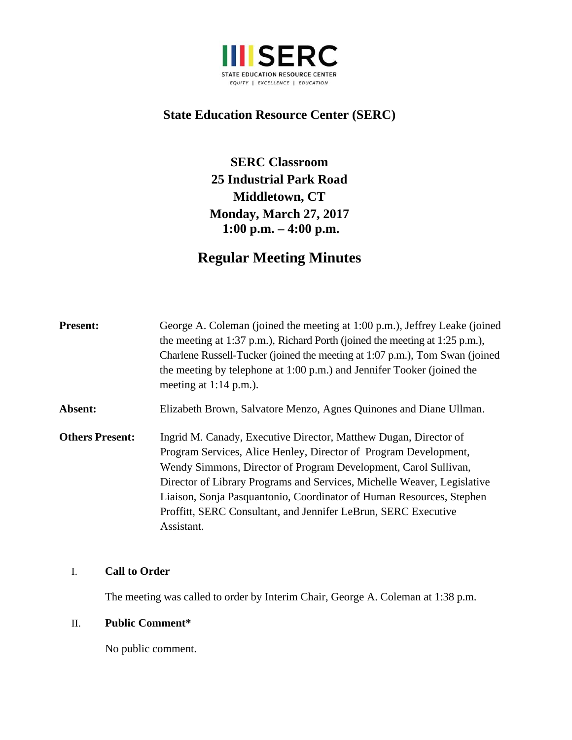

# **State Education Resource Center (SERC)**

**SERC Classroom 25 Industrial Park Road Middletown, CT Monday, March 27, 2017 1:00 p.m. – 4:00 p.m.**

# **Regular Meeting Minutes**

| <b>Present:</b>        | George A. Coleman (joined the meeting at 1:00 p.m.), Jeffrey Leake (joined<br>the meeting at 1:37 p.m.), Richard Porth (joined the meeting at 1:25 p.m.),<br>Charlene Russell-Tucker (joined the meeting at 1:07 p.m.), Tom Swan (joined<br>the meeting by telephone at 1:00 p.m.) and Jennifer Tooker (joined the<br>meeting at $1:14$ p.m.).                                                                                             |
|------------------------|--------------------------------------------------------------------------------------------------------------------------------------------------------------------------------------------------------------------------------------------------------------------------------------------------------------------------------------------------------------------------------------------------------------------------------------------|
| Absent:                | Elizabeth Brown, Salvatore Menzo, Agnes Quinones and Diane Ullman.                                                                                                                                                                                                                                                                                                                                                                         |
| <b>Others Present:</b> | Ingrid M. Canady, Executive Director, Matthew Dugan, Director of<br>Program Services, Alice Henley, Director of Program Development,<br>Wendy Simmons, Director of Program Development, Carol Sullivan,<br>Director of Library Programs and Services, Michelle Weaver, Legislative<br>Liaison, Sonja Pasquantonio, Coordinator of Human Resources, Stephen<br>Proffitt, SERC Consultant, and Jennifer LeBrun, SERC Executive<br>Assistant. |

#### I. **Call to Order**

The meeting was called to order by Interim Chair, George A. Coleman at 1:38 p.m.

#### II. **Public Comment\***

No public comment.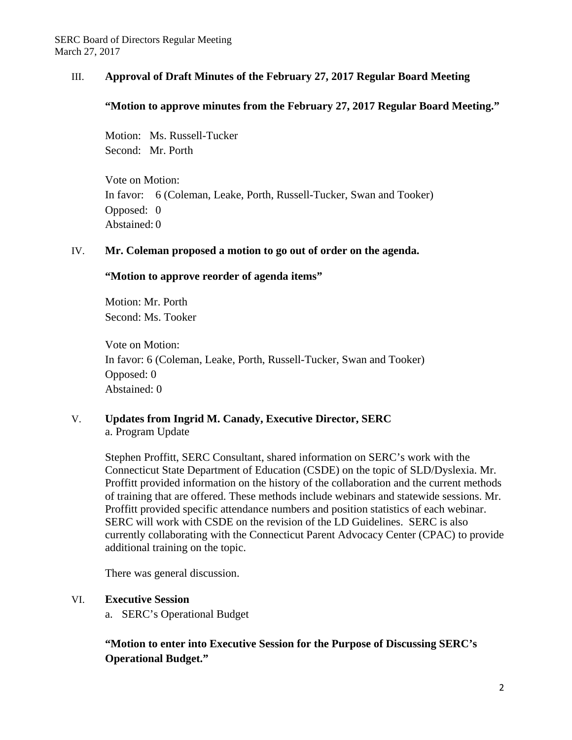#### III. **Approval of Draft Minutes of the February 27, 2017 Regular Board Meeting**

#### **"Motion to approve minutes from the February 27, 2017 Regular Board Meeting."**

Motion: Ms. Russell-Tucker Second: Mr. Porth

Vote on Motion: In favor: 6 (Coleman, Leake, Porth, Russell-Tucker, Swan and Tooker) Opposed: 0 Abstained: 0

#### IV. **Mr. Coleman proposed a motion to go out of order on the agenda.**

#### **"Motion to approve reorder of agenda items"**

Motion: Mr. Porth Second: Ms. Tooker

Vote on Motion: In favor: 6 (Coleman, Leake, Porth, Russell-Tucker, Swan and Tooker) Opposed: 0 Abstained: 0

V. **Updates from Ingrid M. Canady, Executive Director, SERC**  a. Program Update

> Stephen Proffitt, SERC Consultant, shared information on SERC's work with the Connecticut State Department of Education (CSDE) on the topic of SLD/Dyslexia. Mr. Proffitt provided information on the history of the collaboration and the current methods of training that are offered. These methods include webinars and statewide sessions. Mr. Proffitt provided specific attendance numbers and position statistics of each webinar. SERC will work with CSDE on the revision of the LD Guidelines. SERC is also currently collaborating with the Connecticut Parent Advocacy Center (CPAC) to provide additional training on the topic.

There was general discussion.

#### VI. **Executive Session**

a. SERC's Operational Budget

# **"Motion to enter into Executive Session for the Purpose of Discussing SERC's Operational Budget."**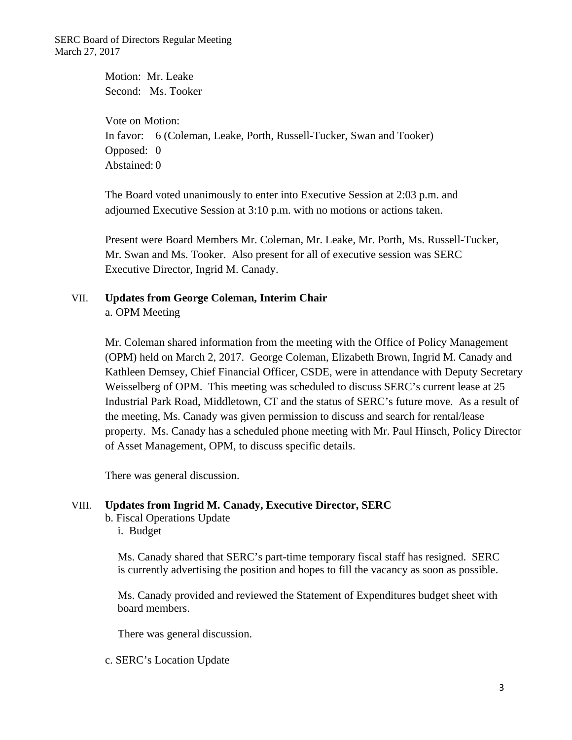SERC Board of Directors Regular Meeting March 27, 2017

> Motion: Mr. Leake Second: Ms. Tooker

Vote on Motion: In favor: 6 (Coleman, Leake, Porth, Russell-Tucker, Swan and Tooker) Opposed: 0 Abstained: 0

The Board voted unanimously to enter into Executive Session at 2:03 p.m. and adjourned Executive Session at 3:10 p.m. with no motions or actions taken.

Present were Board Members Mr. Coleman, Mr. Leake, Mr. Porth, Ms. Russell-Tucker, Mr. Swan and Ms. Tooker. Also present for all of executive session was SERC Executive Director, Ingrid M. Canady.

### VII. **Updates from George Coleman, Interim Chair**  a. OPM Meeting

Mr. Coleman shared information from the meeting with the Office of Policy Management (OPM) held on March 2, 2017. George Coleman, Elizabeth Brown, Ingrid M. Canady and Kathleen Demsey, Chief Financial Officer, CSDE, were in attendance with Deputy Secretary Weisselberg of OPM. This meeting was scheduled to discuss SERC's current lease at 25 Industrial Park Road, Middletown, CT and the status of SERC's future move. As a result of the meeting, Ms. Canady was given permission to discuss and search for rental/lease property. Ms. Canady has a scheduled phone meeting with Mr. Paul Hinsch, Policy Director of Asset Management, OPM, to discuss specific details.

There was general discussion.

#### VIII. **Updates from Ingrid M. Canady, Executive Director, SERC**

b. Fiscal Operations Update

i. Budget

Ms. Canady shared that SERC's part-time temporary fiscal staff has resigned. SERC is currently advertising the position and hopes to fill the vacancy as soon as possible.

Ms. Canady provided and reviewed the Statement of Expenditures budget sheet with board members.

There was general discussion.

c. SERC's Location Update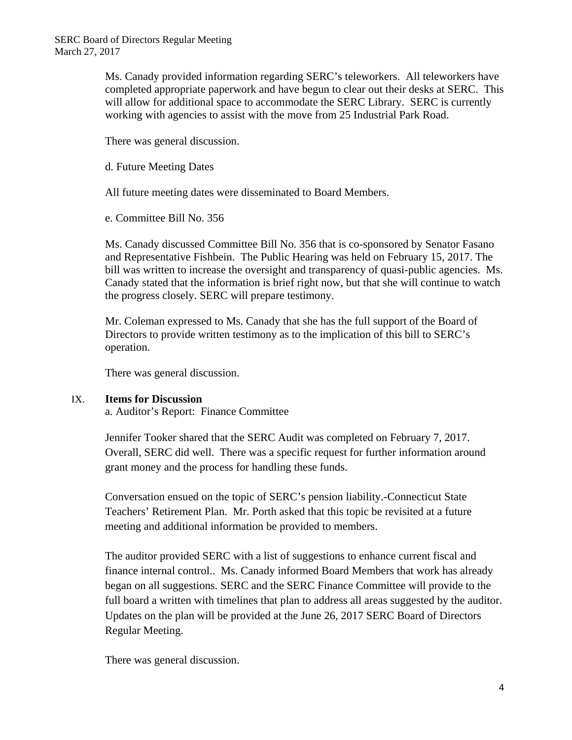Ms. Canady provided information regarding SERC's teleworkers. All teleworkers have completed appropriate paperwork and have begun to clear out their desks at SERC. This will allow for additional space to accommodate the SERC Library. SERC is currently working with agencies to assist with the move from 25 Industrial Park Road.

There was general discussion.

d. Future Meeting Dates

All future meeting dates were disseminated to Board Members.

e. Committee Bill No. 356

Ms. Canady discussed Committee Bill No. 356 that is co-sponsored by Senator Fasano and Representative Fishbein. The Public Hearing was held on February 15, 2017. The bill was written to increase the oversight and transparency of quasi-public agencies. Ms. Canady stated that the information is brief right now, but that she will continue to watch the progress closely. SERC will prepare testimony.

Mr. Coleman expressed to Ms. Canady that she has the full support of the Board of Directors to provide written testimony as to the implication of this bill to SERC's operation.

There was general discussion.

#### IX. **Items for Discussion**

a. Auditor's Report: Finance Committee

Jennifer Tooker shared that the SERC Audit was completed on February 7, 2017. Overall, SERC did well. There was a specific request for further information around grant money and the process for handling these funds.

Conversation ensued on the topic of SERC's pension liability.-Connecticut State Teachers' Retirement Plan. Mr. Porth asked that this topic be revisited at a future meeting and additional information be provided to members.

The auditor provided SERC with a list of suggestions to enhance current fiscal and finance internal control.. Ms. Canady informed Board Members that work has already began on all suggestions. SERC and the SERC Finance Committee will provide to the full board a written with timelines that plan to address all areas suggested by the auditor. Updates on the plan will be provided at the June 26, 2017 SERC Board of Directors Regular Meeting.

There was general discussion.